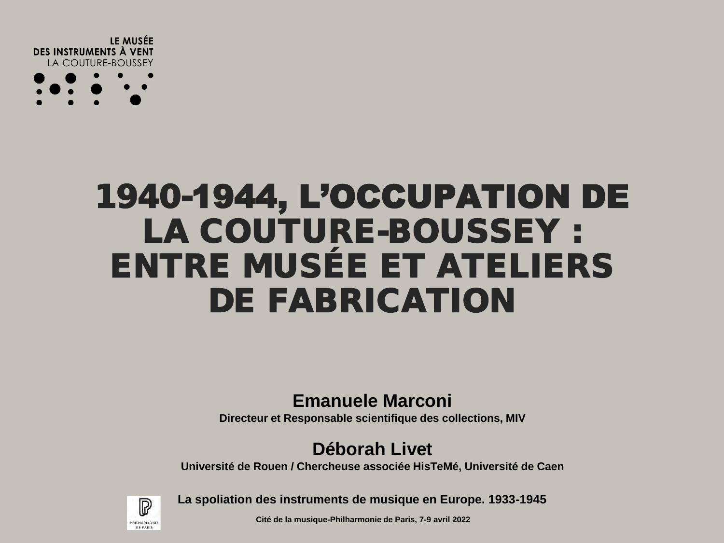

### 1940-1944, L'OCCUPATION DE LA COUTURE-BOUSSEY : ENTRE MUSÉE ET ATELIERS DE FABRICATION

### **Emanuele Marconi**

**Directeur et Responsable scientifique des collections, MIV**

### **Déborah Livet**

**Université de Rouen / Chercheuse associée HisTeMé, Université de Caen**



**La spoliation des instruments de musique en Europe. 1933-1945**

**Cité de la musique-Philharmonie de Paris, 7-9 avril 2022**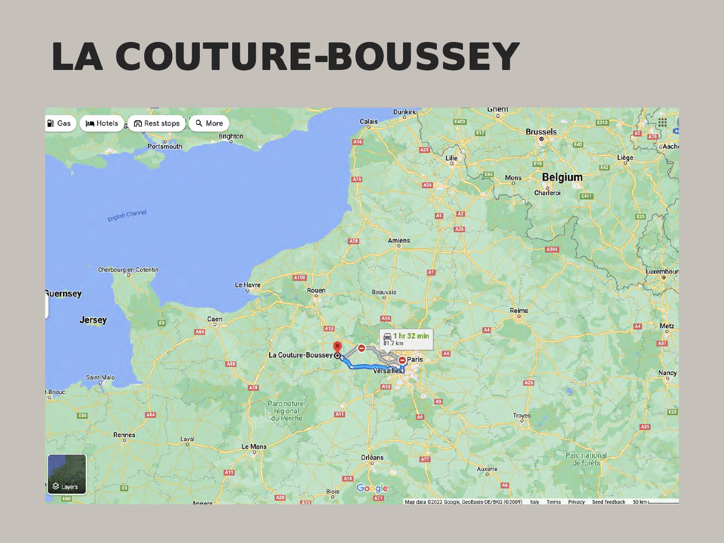### LA COUTURE-BOUSSEY

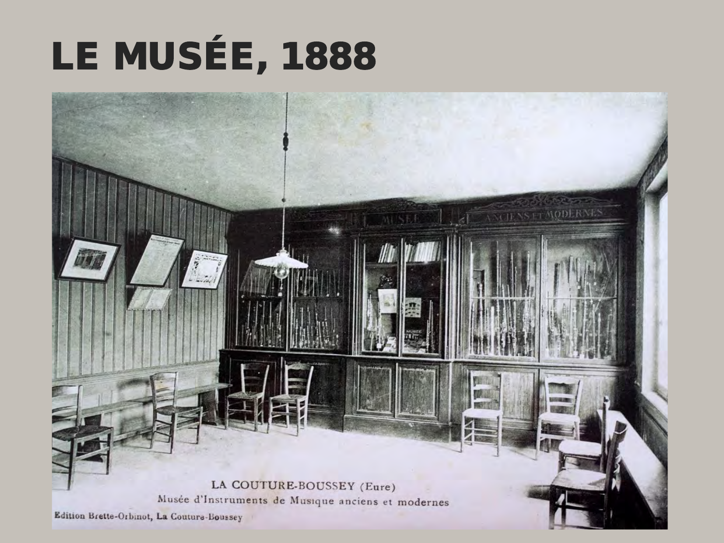## LE MUSÉE, 1888

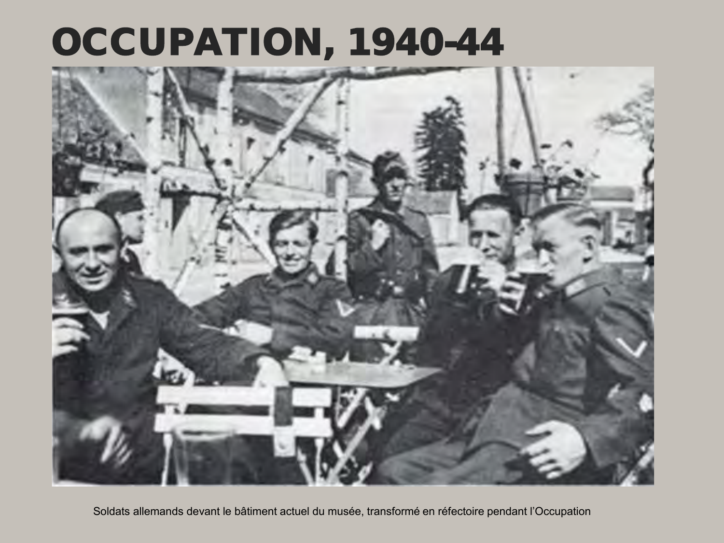### OCCUPATION, 1940-44



Soldats allemands devant le bâtiment actuel du musée, transformé en réfectoire pendant l'Occupation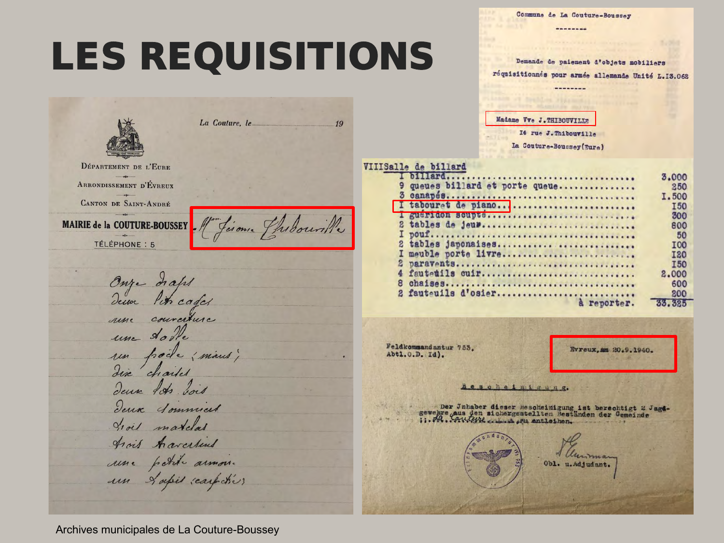Commune de La Couture-Boussey --------

--------

## **LES REQUISITIONS**

La Couture, le

MAIRIE de la COUTURE-BOUSSEY Maison, Phibourille

DÉPARTEMENT DE L'EURE ARRONDISSEMENT D'ÉVREUX **CANTON DE SAINT-ANDRÉ** 

TÉLÉPHONE : 5

Onze diaps

une courature

deux los dois

trois matches Arois Acreelins

Deux Sommiers

une petite armone

un L'apis reaspokés

un poète (mous)

une dorte

Demande de paiement d'objets mobiliers réquisitionnés pour armée allemande Unité L.13.062

Madame Vve J.THIBOUVILLE

I4 rue J. Thibouville

La Couture-Boussey(Eure)

### VIIISalle de billard

 $19$ 

|   |                               | 3,000      |
|---|-------------------------------|------------|
|   | queues billard et porte queue | 250        |
|   |                               | I.500      |
|   | tabouret de piano             | <b>I50</b> |
|   | gueriaen scupte               | 300        |
|   | tables de jeux                | 800        |
|   |                               | 50         |
|   | 2 tables japonaises           | <b>IOO</b> |
|   | meuble porte livre            | <b>I20</b> |
| 2 |                               | <b>I50</b> |
|   |                               | 2,000      |
| 8 |                               | 600        |
|   | 2 fautouils d'osier           | 200        |
|   | reporter.                     | 33.325     |
|   |                               |            |

Feldkommandantur 753. Abt1.0.D. Id).

**Evreux, am 20.9.1940.** 

### Bescheimiaung.

Obl. u. Adjudant.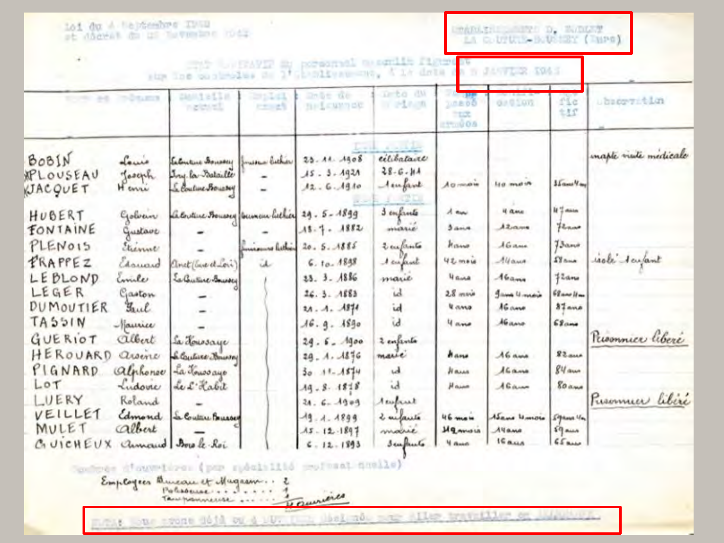| 161 du A Hejdeebre INND<br>at digest da us tuvember mode                                            |                                      |                                                            |                              |                                                                       | LTARMENT COMPLETE D. WALDLATE<br>ia c. UTUR-B. D. MINT ( INPO) |                                             |                                            |                                           |                       |  |
|-----------------------------------------------------------------------------------------------------|--------------------------------------|------------------------------------------------------------|------------------------------|-----------------------------------------------------------------------|----------------------------------------------------------------|---------------------------------------------|--------------------------------------------|-------------------------------------------|-----------------------|--|
| porsonal magnite figure<br>5.18<br>drik<br>1'GLADISVAU TRO.<br>sign line on simplies<br><b>Dist</b> |                                      |                                                            |                              |                                                                       |                                                                |                                             |                                            | UTLE INS                                  |                       |  |
|                                                                                                     | <b>DOLES</b>                         | <b>CANALLES</b><br>ngidati                                 | <b>Syldi</b><br><b>CENET</b> | Debt de<br><b>Brickwack</b>                                           | neto da<br>in adapta                                           | 10.800<br>TEST.<br>$1 - 0000$               | de 0 10m                                   | Mc<br>$+15$                               | ubscryption           |  |
| BOBIN<br>APLOUSEAU<br><b>UACQUET</b>                                                                | Louis<br>Joseph<br><b>H</b> correr   | Extentine Soussey<br>Ing la Bataille<br>Le Coutine Boursey | messen bicker                | $25 - A4 - A908$<br>$15 - 3 - 1921$<br>12.6.1910                      | eilibataire<br>$28 - 6 - 114$<br>temport                       | A a minute                                  | <b>Prison ast</b>                          | $15$ cases $9$ and                        | maple visite medicale |  |
| HUBERT<br>FONTAINE<br>PLENOIS                                                                       | Golvan<br>Gustave<br>Elenne          | Lebuline Fouroix (burnou hicker 29. 5-1899                 | ninamas hethica              | $15 - 7 - 1882$<br>20.5.1885                                          | 3 confirmete<br><b>WHEREAD!</b><br>2 enfants                   | A am<br>3.44<br>Hisma                       | 4 ame<br>A2<br>$A$ Game                    | it's mass<br>Florino<br>$73$ and          |                       |  |
| FRAPPEZ<br>LEBLOND<br>LEGER                                                                         | Charward<br>Emile<br>Gaston          | anet (Care et Loi)<br>Early three Bounded                  | ü                            | $6.10 - 1848$<br>23.3.186<br>26.3.1883                                | 1 cupiet<br>marie<br>id                                        | <b>UZ</b> mais<br><b>UGAR</b><br>$28$ main  | Allawa<br>A6a<br>James Umania              | $\Omega$ ana<br>#2am<br>$68$ and $11$ and | isole derfant         |  |
| DUMOUTIER<br>TASSIN<br>GUERIOT<br>HEROUARD                                                          | Faul<br>Naurice<br>albert<br>assence | La Houssaye                                                |                              | $2A - A - AB$<br>16.9.1890<br>24.5.1900                               | id<br>ìd.<br>2 enferte                                         | <b><i><u>u amo</u></i></b><br>4 ano<br>hans | AGame<br>AGamo<br>A6 ame                   | $37$ ano<br>$68$ ana<br>$82$ aus          | Promince libere       |  |
| PIGNARD<br>LOT<br>LUERY                                                                             | alphonse<br>Ludovic<br>Roland        | S. Contine Houssey<br>La Toussayo<br>Le L'Habit            |                              | $49 - A.4876$<br>$30.11 - 1544$<br>$19 - 8 - 18 + 8$<br>$34.6 - 1909$ | marie<br>ud.<br>$\mathbf{d}$<br>Acapust                        | Hassa<br>Haine                              | 16a<br>Alian                               | $84$ aux<br><b>80 ans</b>                 | Pusamuer libere       |  |
| VEILLET<br>MULET<br>CUICHEUX                                                                        | Edmond<br>albert                     | Se Coutare Bourses<br>annound Borole Roi                   |                              | $-49 - 4 - 4899$<br>$15 - 12 - 1897$<br>¢<br>$-12 - 1893$             | 2 milante<br>moire<br>Sculture                                 | 46 men<br>Mqwwais<br><b>H</b> doub          | Asame Winnow<br>Ayame<br>16a <sub>14</sub> | $59$ kma $4n$<br>$19$ and<br>65           |                       |  |

Spokes d'ouvelors (par sposition profesat availe)

Employees Bureau et Mugam...

mont lour room doid on a sur the distinct and the travellier or influence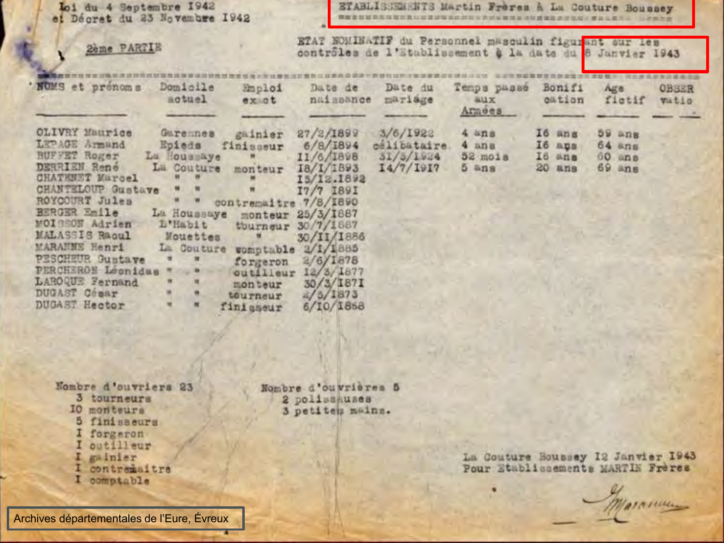Toi du 4 Septembre 1942 et Décret du 23 Novembre 1942

ETABLISSEMENTS Martin Freres à La Couture Boussey WEBSURRNESSLEDUERRESEREN AUSTRALIAN PRODUCT HARRY

**2ème PARTIE (2) ETAT NOMINATIF** du Personnel masculin figurant sur les

| NOMS et prénoms                                                                                                                                                                                                                                                                                     | Domicile                                                                                                                                                                                 | Emploi                                                                                                       | Date de                                                                                                                                                                                                    | Date du                                           | Temps passé                                               | Bonifi                               | Age.                                     | <b>OBSER</b> |
|-----------------------------------------------------------------------------------------------------------------------------------------------------------------------------------------------------------------------------------------------------------------------------------------------------|------------------------------------------------------------------------------------------------------------------------------------------------------------------------------------------|--------------------------------------------------------------------------------------------------------------|------------------------------------------------------------------------------------------------------------------------------------------------------------------------------------------------------------|---------------------------------------------------|-----------------------------------------------------------|--------------------------------------|------------------------------------------|--------------|
|                                                                                                                                                                                                                                                                                                     | actuel                                                                                                                                                                                   | exat                                                                                                         | naissance                                                                                                                                                                                                  | mariage                                           | aux<br>Arnees                                             | oation                               | fictif                                   | <b>Vitio</b> |
| OLIVRY Maurice<br>LEPAGE Armand<br>BUFFET Roger<br>DERRIEN Rene<br>CHATEMET Murcel<br>CHANTELOUP Gustave " "<br>ROYCOURT Jules<br>BERGER Emile La Houssaye<br>MOISSON Adrien<br>MALASSIS Raoul<br>MARANNE Henri<br><b>PESCHEUR Gustave</b><br>PERCHERON Leonidas<br>LAROQUE Fernand<br>DUGAST COBAY | Garemes.<br>Lu Houssaye<br>La Couture monteur<br>$\mathbf{r}$<br>$\begin{array}{ccc} \mathbf{u} & \mathbf{u} \end{array}$<br>D'Habit<br>La Couture<br>m<br>$\frac{1}{2}$<br>ж.<br>頂<br>٠ | gainier<br>Epieds finisseur<br>$\blacksquare$<br>contremaitre 7/8/1890<br>Mouettes "<br>outilleur<br>monteur | 27/2/1899<br>6/8/1894<br>11/6/1898<br>I8/I/1893<br>15/12.1892<br>I7/7 I89I<br>monteur 25/3/1887<br>tourneur 30/7/1887<br>30/II/1886<br>womptable 2/1/1885<br>forgeron $2/6/1878$<br>12/3/1877<br>30/3/1871 | 3/6/1922<br>celibataire<br>31/5/1934<br>14/7/1917 | $4 \times n$ s<br>$4$ ana<br>$52 \text{ mo18}$<br>$5$ ans | I6 ans<br>I6 aps<br>I6 ans<br>20 ans | $59$ ans<br>64 ans<br>60 ans<br>$69$ ans |              |
| DUGAST Hector                                                                                                                                                                                                                                                                                       | 價                                                                                                                                                                                        | tourneur<br>finisseur                                                                                        | a/5/1873<br>6/10/1868                                                                                                                                                                                      |                                                   |                                                           |                                      |                                          |              |

Nombre d'ouvriers 23 3 tourneurs IO monteurs 5 finisaeurs I forgeron I outilleur I gainier I contramaitre I comptable

Nombre d'ouvrières 5 2 polissauses 3 petites mains.

La Couture Boussey 12 Janvier 1943<br>Pour Etablissements MARTIN Frères

Maramum

Archives départementales de l'Eure, Évreux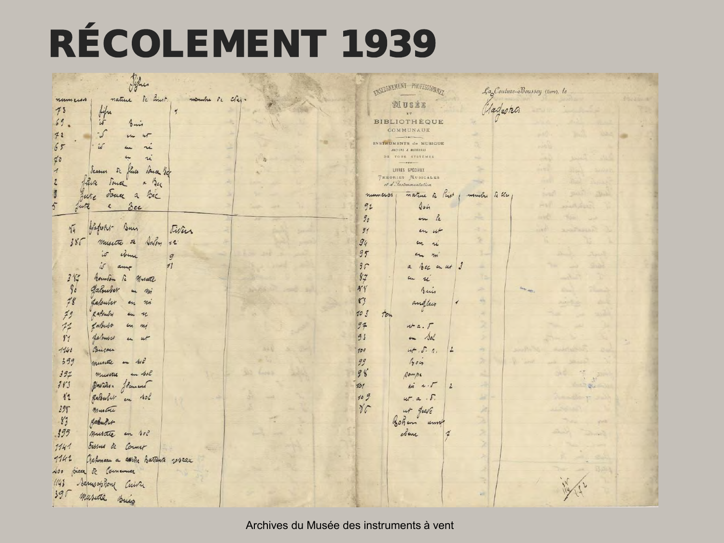### RÉCOLEMENT 1939

| John                                                             | ENSEIGNEMENT PROFESSIONNEY                                      |               | La Couture-Boussey (Euro), le |
|------------------------------------------------------------------|-----------------------------------------------------------------|---------------|-------------------------------|
| Sc Eust.<br>nature<br>mombe le cléi.<br>mumun<br>75              | WUSÉE                                                           | Hadeora       |                               |
| bifu<br>$\frac{1}{2}$<br>69.<br>$\mathfrak{c}$<br>bais           | $K$ T<br><b>BIBLIOTHEQUE</b>                                    |               |                               |
| يى-<br>72<br>$\mathcal{U}$                                       | COMMUNAUX<br>$\longrightarrow$                                  |               |                               |
| 65<br>$\mathcal{U}$                                              | INSTRUMENTS de MUSIQUE<br>ANCIENS & MODERNES                    |               |                               |
| 10<br>u                                                          | DE TOUS SYSTÈMES<br>$-$                                         |               |                               |
| Sc Since<br>Pance Bc<br>dessus                                   | LIVRES SPECIAUX<br>THEORIES MUSICALES                           |               |                               |
| funce<br>a Bec<br>Souce                                          | et d'Instrumentation                                            |               |                               |
| Tous a<br>Bec<br>Jute<br>$\beta$ ec<br>Jute<br>5<br>K            | nature in light<br>numeros<br>404<br>92                         | montre de 44  | $-11$                         |
|                                                                  | $g_{\mathfrak{o}}$<br>in la                                     |               |                               |
| Hagwert-<br>Bun<br>$\sqrt{4}$<br>Jivins                          | $\mathcal{I}$<br>in ut                                          |               |                               |
| Salon<br>386<br>musette<br>52<br>74.                             | 94<br>ı.<br>u                                                   |               |                               |
| $i\sigma$<br>come<br>9                                           | 95<br>$4 -$<br>$n_{\rm H}$                                      |               |                               |
| $\dot{\omega}$<br>11<br>anne                                     | 9c<br>a bec en ut                                               |               |                               |
| 3 <sup>4</sup><br>Bounton<br>$\hbar$<br>Musete<br>90<br>Fabruker | 87<br>$\sim$<br>u<br>$*Y$                                       | ×             |                               |
| mi<br>$\overline{m}$<br>78<br>Lalouber<br>$n_{m}$<br>41          | Bui<br>r <sub>j</sub><br>andlais                                | $\frac{1}{2}$ |                               |
| 79<br>& afsuby<br>n<br>$\epsilon_{\rm h}$                        | 20 3<br>ton                                                     |               |                               |
| Labours<br>77<br>cm m                                            | 97<br>44.5                                                      |               |                               |
| LaPouber<br>$r_1$<br>$\nu$<br>$\overline{\mathbf{u}}$            | on Sol<br>93                                                    |               |                               |
| Concon<br>1140                                                   | ut. S. 1.<br>100                                                |               |                               |
| 399<br>munte<br>400<br>4m                                        | 99<br>$A_0$                                                     |               |                               |
| 397<br>in sol<br>musical<br>383                                  | 98<br>Dompe                                                     |               |                               |
| Partidon Jament<br>82<br>galenber<br>en sol                      | 101<br>$\lambda ii$ a. $\tau$<br>$\mathbf{2}$<br>109<br>ut.a.5. |               | $\sqrt{2}$                    |
| 398<br>Mustre                                                    | $\gamma_{C}$<br>ut quale                                        |               |                               |
| 8 <sub>3</sub><br>Rabuber                                        | sohen<br>um                                                     |               |                               |
| 395<br>muscre<br>en sol                                          | clan<br>ą                                                       |               |                               |
| Sissus de<br>1141<br>Corner                                      |                                                                 |               |                               |
| 1142<br>Gahman a avenic Battante voscau                          |                                                                 |               |                               |
| piece de Comena<br>100                                           |                                                                 |               |                               |
| Samsophone<br>1143<br>Cuivre                                     |                                                                 |               |                               |
| 390<br>musicle suis                                              |                                                                 |               |                               |

Archives du Musée des instruments à vent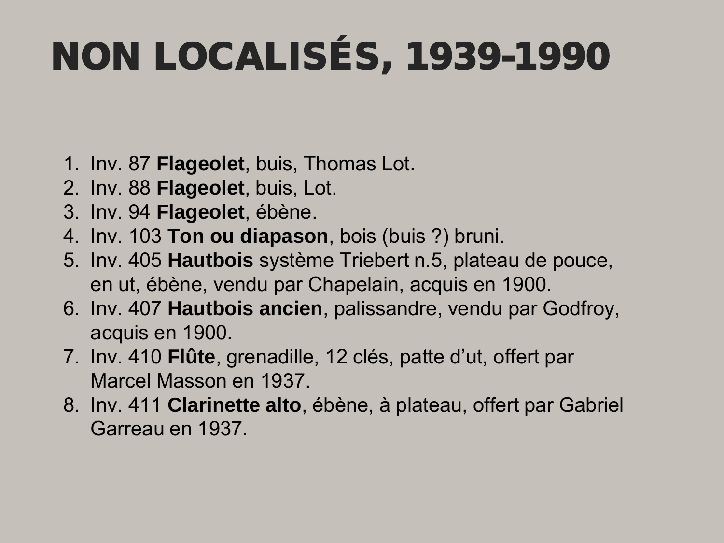# NON LOCALISÉS, 1939-1990

- 1. Inv. 87 **Flageolet**, buis, Thomas Lot.
- 2. Inv. 88 **Flageolet**, buis, Lot.
- 3. Inv. 94 **Flageolet**, ébène.
- 4. Inv. 103 **Ton ou diapason**, bois (buis ?) bruni.
- 5. Inv. 405 **Hautbois** système Triebert n.5, plateau de pouce, en ut, ébène, vendu par Chapelain, acquis en 1900.
- 6. Inv. 407 **Hautbois ancien**, palissandre, vendu par Godfroy, acquis en 1900.
- 7. Inv. 410 **Flûte**, grenadille, 12 clés, patte d'ut, offert par Marcel Masson en 1937.
- 8. Inv. 411 **Clarinette alto**, ébène, à plateau, offert par Gabriel Garreau en 1937.